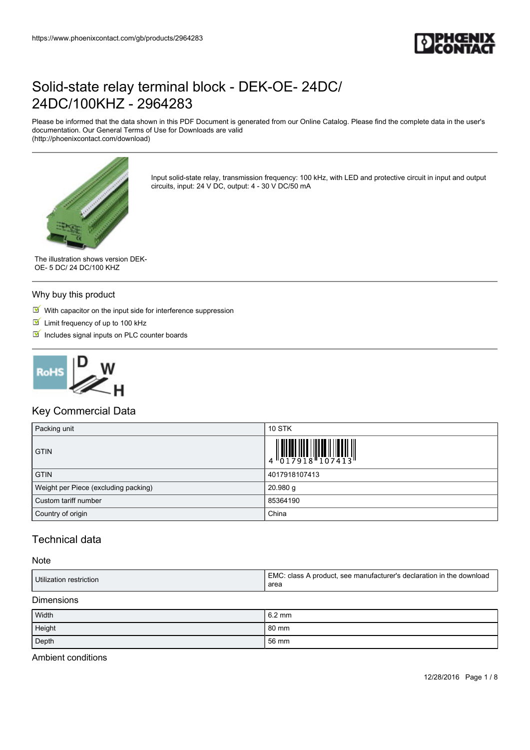

Please be informed that the data shown in this PDF Document is generated from our Online Catalog. Please find the complete data in the user's documentation. Our General Terms of Use for Downloads are valid (http://phoenixcontact.com/download)



Input solid-state relay, transmission frequency: 100 kHz, with LED and protective circuit in input and output circuits, input: 24 V DC, output: 4 - 30 V DC/50 mA

The illustration shows version DEK-OE- 5 DC/ 24 DC/100 KHZ

#### Why buy this product

 $M$  With capacitor on the input side for interference suppression

- **Limit frequency of up to 100 kHz**
- $\blacksquare$  Includes signal inputs on PLC counter boards



## Key Commercial Data

| Packing unit                         | <b>10 STK</b>                                                                                                 |
|--------------------------------------|---------------------------------------------------------------------------------------------------------------|
| <b>GTIN</b>                          | $\begin{array}{c} 1 & 0 & 0 & 0 & 0 \\ 0 & 0 & 1 & 7 & 9 & 1 & 8 \\ 0 & 0 & 1 & 7 & 9 & 1 & 8 \\ \end{array}$ |
| <b>GTIN</b>                          | 4017918107413                                                                                                 |
| Weight per Piece (excluding packing) | 20.980 g                                                                                                      |
| Custom tariff number                 | 85364190                                                                                                      |
| Country of origin                    | China                                                                                                         |

## Technical data

#### Note

| Utilization restriction | EMC.<br>ticlass A product, see manufacturer's declaration in the download.''<br>area |
|-------------------------|--------------------------------------------------------------------------------------|
|-------------------------|--------------------------------------------------------------------------------------|

#### Dimensions

| Width  | $6.2 \text{ mm}$ |
|--------|------------------|
| Height | 80 mm            |
| Depth  | 56 mm            |

Ambient conditions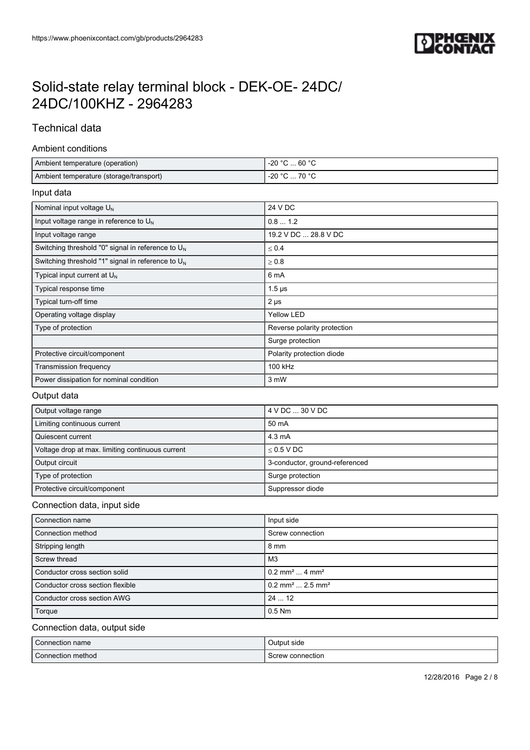

## Technical data

#### Ambient conditions

| Ambient temperature (operation)         | 60 °C<br>-20 °C     |
|-----------------------------------------|---------------------|
| Ambient temperature (storage/transport) | -20 °C<br>^° 70 … ت |

### Input data

| Nominal input voltage $U_{N}$                        | 24 V DC                     |
|------------------------------------------------------|-----------------------------|
| Input voltage range in reference to U <sub>N</sub>   | 0.81.2                      |
| Input voltage range                                  | 19.2 V DC  28.8 V DC        |
| Switching threshold "0" signal in reference to $U_N$ | $\leq 0.4$                  |
| Switching threshold "1" signal in reference to $U_N$ | $\geq 0.8$                  |
| Typical input current at $U_{N}$                     | 6 mA                        |
| Typical response time                                | $1.5 \,\mu s$               |
| Typical turn-off time                                | $2 \mu s$                   |
| Operating voltage display                            | <b>Yellow LED</b>           |
| Type of protection                                   | Reverse polarity protection |
|                                                      | Surge protection            |
| Protective circuit/component                         | Polarity protection diode   |
| Transmission frequency                               | 100 kHz                     |
| Power dissipation for nominal condition              | 3 mW                        |

### Output data

| Output voltage range                             | 4 V DC  30 V DC                |
|--------------------------------------------------|--------------------------------|
| Limiting continuous current                      | 50 mA                          |
| Quiescent current                                | $4.3 \text{ mA}$               |
| Voltage drop at max. limiting continuous current | $<$ 0.5 V DC                   |
| Output circuit                                   | 3-conductor, ground-referenced |
| Type of protection                               | Surge protection               |
| Protective circuit/component                     | Suppressor diode               |

### Connection data, input side

| Connection name                  | Input side                                |
|----------------------------------|-------------------------------------------|
| Connection method                | Screw connection                          |
| Stripping length                 | 8 mm                                      |
| Screw thread                     | M3                                        |
| Conductor cross section solid    | $0.2$ mm <sup>2</sup> 4 mm <sup>2</sup>   |
| Conductor cross section flexible | $0.2$ mm <sup>2</sup> 2.5 mm <sup>2</sup> |
| Conductor cross section AWG      | 2412                                      |
| Torque                           | $0.5$ Nm                                  |

### Connection data, output side

| $\sim$<br>Connection name | Output side      |
|---------------------------|------------------|
| Connection method         | Screw connection |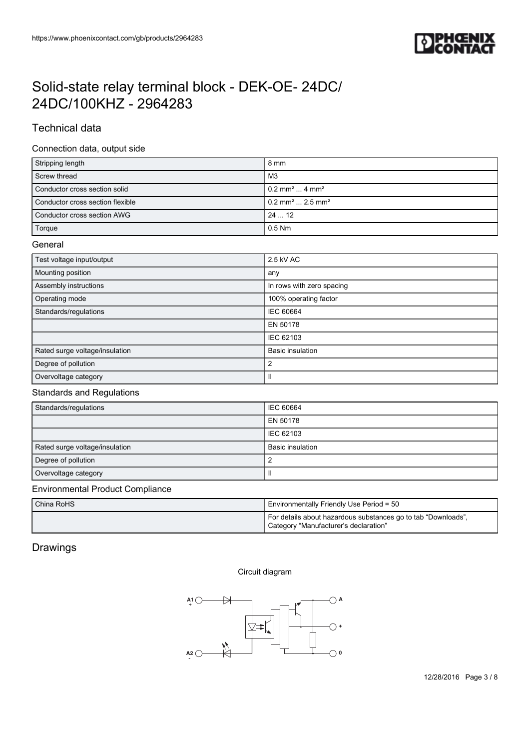

## Technical data

### Connection data, output side

| Stripping length                 | 8 mm                                       |
|----------------------------------|--------------------------------------------|
| Screw thread                     | MЗ                                         |
| Conductor cross section solid    | $10.2$ mm <sup>2</sup> 4 mm <sup>2</sup>   |
| Conductor cross section flexible | $10.2$ mm <sup>2</sup> 2.5 mm <sup>2</sup> |
| Conductor cross section AWG      | 2412                                       |
| Torque                           | $0.5$ Nm                                   |

#### **General**

| Test voltage input/output      | 2.5 kV AC                 |
|--------------------------------|---------------------------|
| Mounting position              | any                       |
| Assembly instructions          | In rows with zero spacing |
| Operating mode                 | 100% operating factor     |
| Standards/regulations          | <b>IEC 60664</b>          |
|                                | EN 50178                  |
|                                | IEC 62103                 |
| Rated surge voltage/insulation | <b>Basic insulation</b>   |
| Degree of pollution            | 2                         |
| Overvoltage category           | Ш                         |

## Standards and Regulations

| Standards/regulations          | IEC 60664        |
|--------------------------------|------------------|
|                                | EN 50178         |
|                                | <b>IEC 62103</b> |
| Rated surge voltage/insulation | Basic insulation |
| Degree of pollution            |                  |
| Overvoltage category           |                  |

### Environmental Product Compliance

| China RoHS | Environmentally Friendly Use Period = 50                                                               |
|------------|--------------------------------------------------------------------------------------------------------|
|            | For details about hazardous substances go to tab "Downloads",<br>Category "Manufacturer's declaration" |

### Drawings

#### Circuit diagram

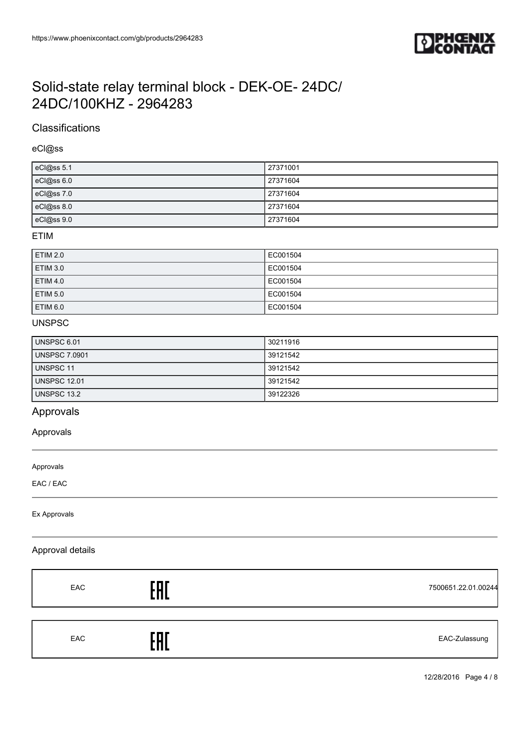

## **Classifications**

eCl@ss

| eCl@ss 5.1 | 27371001 |
|------------|----------|
| eCl@ss 6.0 | 27371604 |
| eCl@ss 7.0 | 27371604 |
| eCl@ss 8.0 | 27371604 |
| eCl@ss 9.0 | 27371604 |

#### ETIM

| <b>ETIM 2.0</b> | EC001504 |
|-----------------|----------|
| <b>ETIM 3.0</b> | EC001504 |
| <b>ETIM 4.0</b> | EC001504 |
| <b>ETIM 5.0</b> | EC001504 |
| <b>ETIM 6.0</b> | EC001504 |

### UNSPSC

| UNSPSC 6.01          | 30211916 |
|----------------------|----------|
| <b>UNSPSC 7.0901</b> | 39121542 |
| UNSPSC 11            | 39121542 |
| <b>UNSPSC 12.01</b>  | 39121542 |
| <b>UNSPSC 13.2</b>   | 39122326 |

## Approvals

#### Approvals

Approvals

EAC / EAC

Ex Approvals

#### Approval details

| EAC | 'חר<br>П<br>. | 7500651.22.01.00244 |
|-----|---------------|---------------------|
| EAC | ПΓ<br>ות      | EAC-Zulassung       |

12/28/2016 Page 4 / 8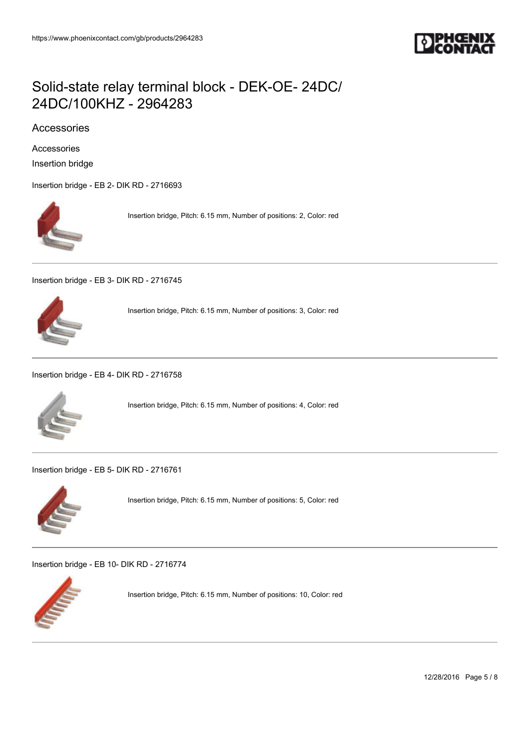

## Accessories

Accessories

Insertion bridge

[Insertion bridge - EB 2- DIK RD - 2716693](https://www.phoenixcontact.com/gb/products/2716693)



Insertion bridge, Pitch: 6.15 mm, Number of positions: 2, Color: red

[Insertion bridge - EB 3- DIK RD - 2716745](https://www.phoenixcontact.com/gb/products/2716745)



Insertion bridge, Pitch: 6.15 mm, Number of positions: 3, Color: red

[Insertion bridge - EB 4- DIK RD - 2716758](https://www.phoenixcontact.com/gb/products/2716758)



Insertion bridge, Pitch: 6.15 mm, Number of positions: 4, Color: red

[Insertion bridge - EB 5- DIK RD - 2716761](https://www.phoenixcontact.com/gb/products/2716761)



Insertion bridge, Pitch: 6.15 mm, Number of positions: 5, Color: red

[Insertion bridge - EB 10- DIK RD - 2716774](https://www.phoenixcontact.com/gb/products/2716774)



Insertion bridge, Pitch: 6.15 mm, Number of positions: 10, Color: red

12/28/2016 Page 5 / 8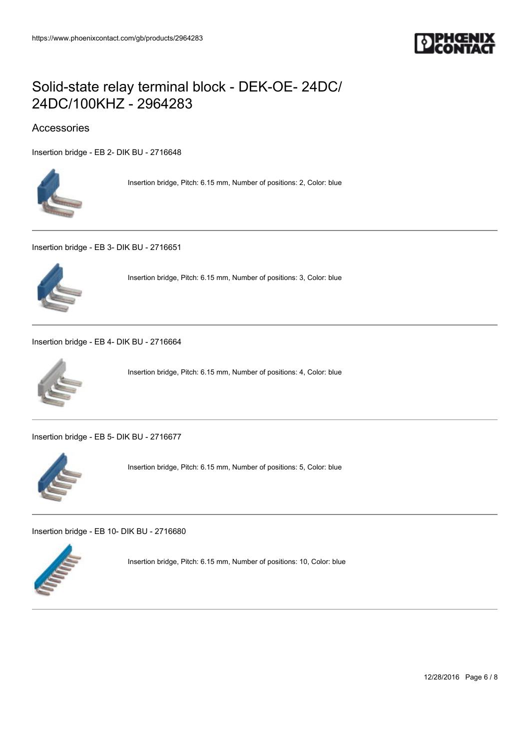

## Accessories

[Insertion bridge - EB 2- DIK BU - 2716648](https://www.phoenixcontact.com/gb/products/2716648)



Insertion bridge, Pitch: 6.15 mm, Number of positions: 2, Color: blue

[Insertion bridge - EB 3- DIK BU - 2716651](https://www.phoenixcontact.com/gb/products/2716651)



Insertion bridge, Pitch: 6.15 mm, Number of positions: 3, Color: blue

[Insertion bridge - EB 4- DIK BU - 2716664](https://www.phoenixcontact.com/gb/products/2716664)



Insertion bridge, Pitch: 6.15 mm, Number of positions: 4, Color: blue

[Insertion bridge - EB 5- DIK BU - 2716677](https://www.phoenixcontact.com/gb/products/2716677)



Insertion bridge, Pitch: 6.15 mm, Number of positions: 5, Color: blue

[Insertion bridge - EB 10- DIK BU - 2716680](https://www.phoenixcontact.com/gb/products/2716680)



Insertion bridge, Pitch: 6.15 mm, Number of positions: 10, Color: blue

12/28/2016 Page 6 / 8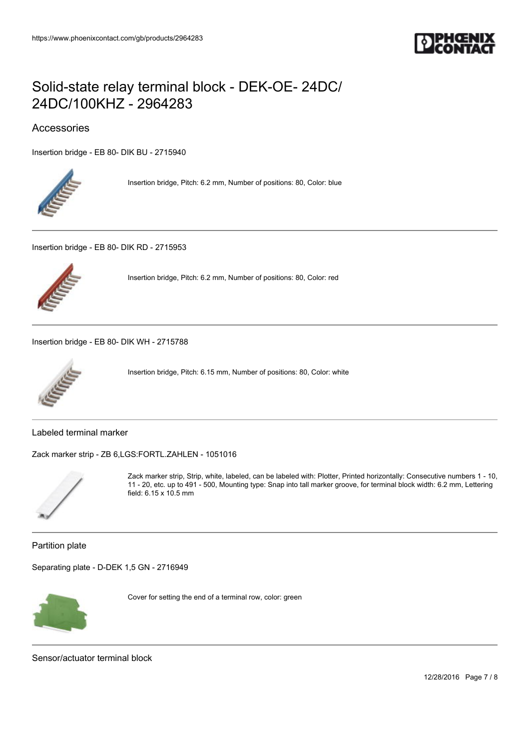

## Accessories

[Insertion bridge - EB 80- DIK BU - 2715940](https://www.phoenixcontact.com/gb/products/2715940)



Insertion bridge, Pitch: 6.2 mm, Number of positions: 80, Color: blue

[Insertion bridge - EB 80- DIK RD - 2715953](https://www.phoenixcontact.com/gb/products/2715953)



Insertion bridge, Pitch: 6.2 mm, Number of positions: 80, Color: red

[Insertion bridge - EB 80- DIK WH - 2715788](https://www.phoenixcontact.com/gb/products/2715788)



Insertion bridge, Pitch: 6.15 mm, Number of positions: 80, Color: white

Labeled terminal marker

[Zack marker strip - ZB 6,LGS:FORTL.ZAHLEN - 1051016](https://www.phoenixcontact.com/gb/products/1051016)



Zack marker strip, Strip, white, labeled, can be labeled with: Plotter, Printed horizontally: Consecutive numbers 1 - 10, 11 - 20, etc. up to 491 - 500, Mounting type: Snap into tall marker groove, for terminal block width: 6.2 mm, Lettering field: 6.15 x 10.5 mm

Partition plate

[Separating plate - D-DEK 1,5 GN - 2716949](https://www.phoenixcontact.com/gb/products/2716949)



Cover for setting the end of a terminal row, color: green

Sensor/actuator terminal block

12/28/2016 Page 7 / 8